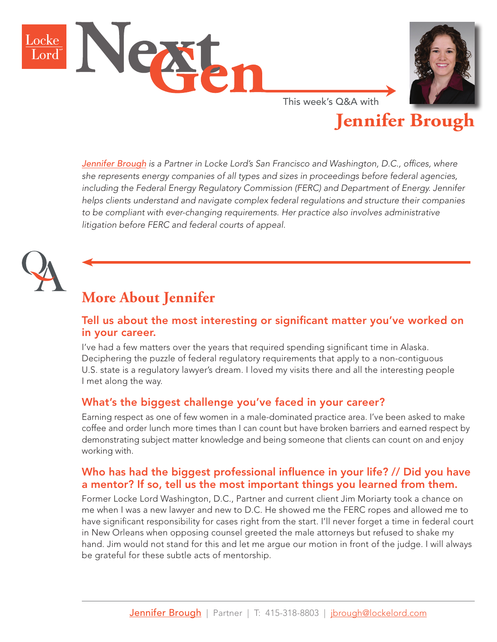



**Jennifer Brough**

This week's Q&A with

*[Jennifer Brough](https://www.lockelord.com/professionals/b/brough-jennifer?lang=en) is a Partner in Locke Lord's San Francisco and Washington, D.C., offices, where she represents energy companies of all types and sizes in proceedings before federal agencies, including the Federal Energy Regulatory Commission (FERC) and Department of Energy. Jennifer helps clients understand and navigate complex federal regulations and structure their companies*  to be compliant with ever-changing requirements. Her practice also involves administrative *litigation before FERC and federal courts of appeal.* 



# **More About Jennifer**

#### Tell us about the most interesting or significant matter you've worked on in your career.

I've had a few matters over the years that required spending significant time in Alaska. Deciphering the puzzle of federal regulatory requirements that apply to a non-contiguous U.S. state is a regulatory lawyer's dream. I loved my visits there and all the interesting people I met along the way.

#### What's the biggest challenge you've faced in your career?

Earning respect as one of few women in a male-dominated practice area. I've been asked to make coffee and order lunch more times than I can count but have broken barriers and earned respect by demonstrating subject matter knowledge and being someone that clients can count on and enjoy working with.

#### Who has had the biggest professional influence in your life? // Did you have a mentor? If so, tell us the most important things you learned from them.

Former Locke Lord Washington, D.C., Partner and current client Jim Moriarty took a chance on me when I was a new lawyer and new to D.C. He showed me the FERC ropes and allowed me to have significant responsibility for cases right from the start. I'll never forget a time in federal court in New Orleans when opposing counsel greeted the male attorneys but refused to shake my hand. Jim would not stand for this and let me argue our motion in front of the judge. I will always be grateful for these subtle acts of mentorship.